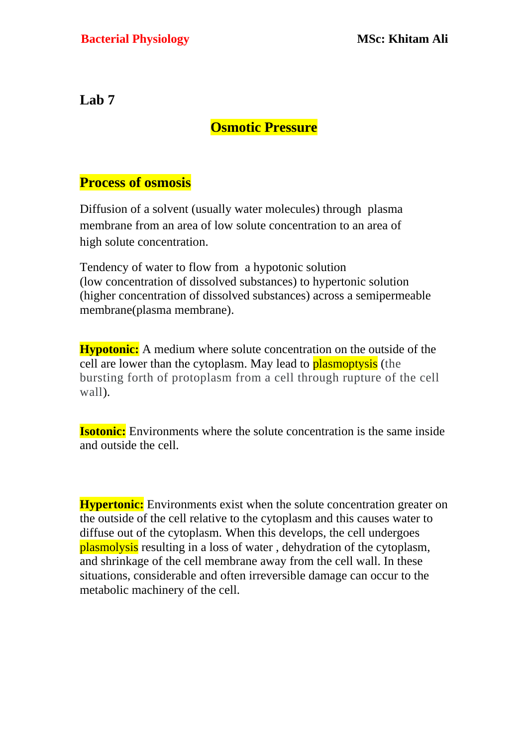**Lab 7**

## **Osmotic Pressure**

## **Process of osmosis**

[Diffusion](https://www.biology-online.org/dictionary/Diffusion) of a [solvent](https://www.biology-online.org/dictionary/Solvent) (usually [water](https://www.biology-online.org/dictionary/Water) molecules) through [plasma](https://www.biology-online.org/dictionary/Semipermeable_membrane)  [membrane](https://www.biology-online.org/dictionary/Semipermeable_membrane) from an area of low [solute](https://www.biology-online.org/dictionary/Solute) [concentration](https://www.biology-online.org/dictionary/Concentration) to an area of high [solute](https://www.biology-online.org/dictionary/Solute) [concentration.](https://www.biology-online.org/dictionary/Concentration)

Tendency of [water](https://www.biology-online.org/dictionary/Water) to [flow](https://www.biology-online.org/dictionary/Flow) from a [hypotonic](https://www.biology-online.org/dictionary/Hypotonic) [solution](https://www.biology-online.org/dictionary/Solution) (low [concentration](https://www.biology-online.org/dictionary/Concentration) of [dissolved](https://www.biology-online.org/dictionary/index.php?title=Dissolved&action=edit&redlink=1) substances) to [hypertonic](https://www.biology-online.org/dictionary/Hypertonic) [solution](https://www.biology-online.org/dictionary/Solution) (higher [concentration](https://www.biology-online.org/dictionary/Concentration) of dissolved substances) across a [semipermeable](https://www.biology-online.org/dictionary/Semipermeable_membrane)  [membrane\(plasma membrane\)](https://www.biology-online.org/dictionary/Semipermeable_membrane).

**Hypotonic:** A medium where solute concentration on the outside of the cell are lower than the cytoplasm. May lead to **plasmoptysis** (the bursting forth of protoplasm from a cell through rupture of the cell wall).

**Isotonic:** Environments where the solute concentration is the same inside and outside the cell.

**Hypertonic:** Environments exist when the solute concentration greater on the outside of the cell relative to the cytoplasm and this causes water to diffuse out of the cytoplasm. When this develops, the cell undergoes plasmolysis resulting in a loss of water , dehydration of the cytoplasm, and shrinkage of the cell membrane away from the cell wall. In these situations, considerable and often irreversible damage can occur to the metabolic machinery of the cell.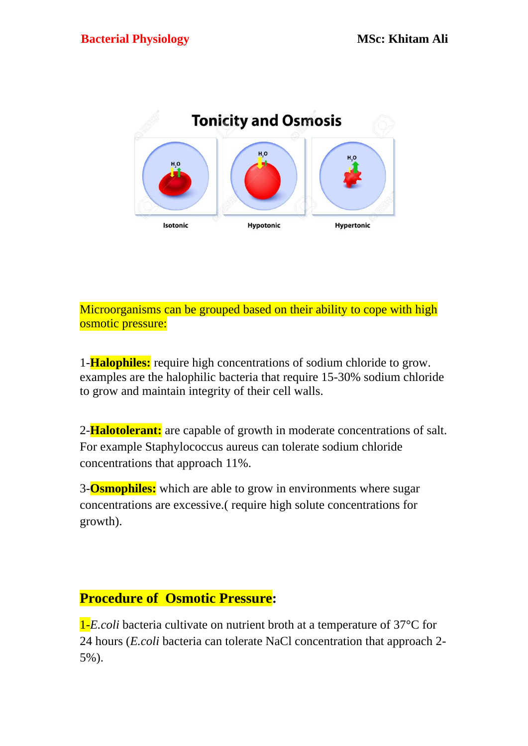

Microorganisms can be grouped based on their ability to cope with high osmotic pressure:

1-**Halophiles:** require high concentrations of sodium chloride to grow. examples are the halophilic bacteria that require 15-30% sodium chloride to grow and maintain integrity of their cell walls.

2-**Halotolerant:** are capable of growth in moderate concentrations of salt. For example Staphylococcus aureus can tolerate sodium chloride concentrations that approach 11%.

3-**Osmophiles:** which are able to grow in environments where sugar concentrations are excessive.( require high solute concentrations for growth).

## **Procedure of Osmotic Pressure:**

1-*E.coli* bacteria cultivate on nutrient broth at a temperature of 37°C for 24 hours (*E.coli* bacteria can tolerate NaCl concentration that approach 2- 5%).